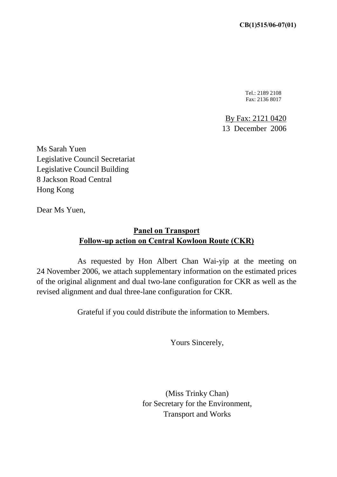Tel.: 2189 2108 Fax: 2136 8017

By Fax: 2121 0420 13 December 2006

Ms Sarah Yuen Legislative Council Secretariat Legislative Council Building 8 Jackson Road Central Hong Kong

Dear Ms Yuen,

## **Panel on Transport Follow-up action on Central Kowloon Route (CKR)**

 As requested by Hon Albert Chan Wai-yip at the meeting on 24 November 2006, we attach supplementary information on the estimated prices of the original alignment and dual two-lane configuration for CKR as well as the revised alignment and dual three-lane configuration for CKR.

Grateful if you could distribute the information to Members.

Yours Sincerely,

(Miss Trinky Chan) for Secretary for the Environment, Transport and Works